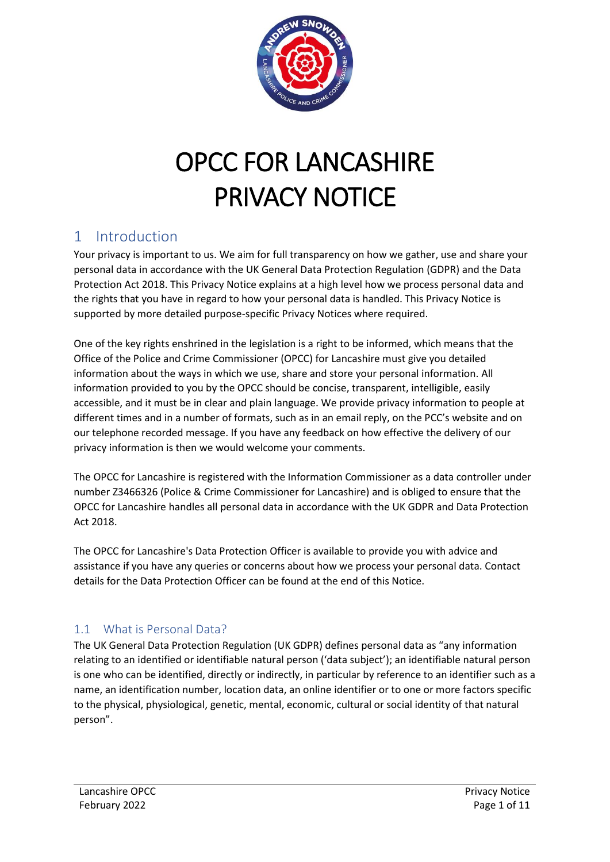

# OPCC FOR LANCASHIRE PRIVACY NOTICE

## 1 Introduction

Your privacy is important to us. We aim for full transparency on how we gather, use and share your personal data in accordance with the UK General Data Protection Regulation (GDPR) and the Data Protection Act 2018. This Privacy Notice explains at a high level how we process personal data and the rights that you have in regard to how your personal data is handled. This Privacy Notice is supported by more detailed purpose-specific Privacy Notices where required.

One of the key rights enshrined in the legislation is a right to be informed, which means that the Office of the Police and Crime Commissioner (OPCC) for Lancashire must give you detailed information about the ways in which we use, share and store your personal information. All information provided to you by the OPCC should be concise, transparent, intelligible, easily accessible, and it must be in clear and plain language. We provide privacy information to people at different times and in a number of formats, such as in an email reply, on the PCC's website and on our telephone recorded message. If you have any feedback on how effective the delivery of our privacy information is then we would welcome your comments.

The OPCC for Lancashire is registered with the Information Commissioner as a data controller under number Z3466326 (Police & Crime Commissioner for Lancashire) and is obliged to ensure that the OPCC for Lancashire handles all personal data in accordance with the UK GDPR and Data Protection Act 2018.

The OPCC for Lancashire's Data Protection Officer is available to provide you with advice and assistance if you have any queries or concerns about how we process your personal data. Contact details for the Data Protection Officer can be found at the end of this Notice.

#### 1.1 What is Personal Data?

The UK General Data Protection Regulation (UK GDPR) defines personal data as "any information relating to an identified or identifiable natural person ('data subject'); an identifiable natural person is one who can be identified, directly or indirectly, in particular by reference to an identifier such as a name, an identification number, location data, an online identifier or to one or more factors specific to the physical, physiological, genetic, mental, economic, cultural or social identity of that natural person".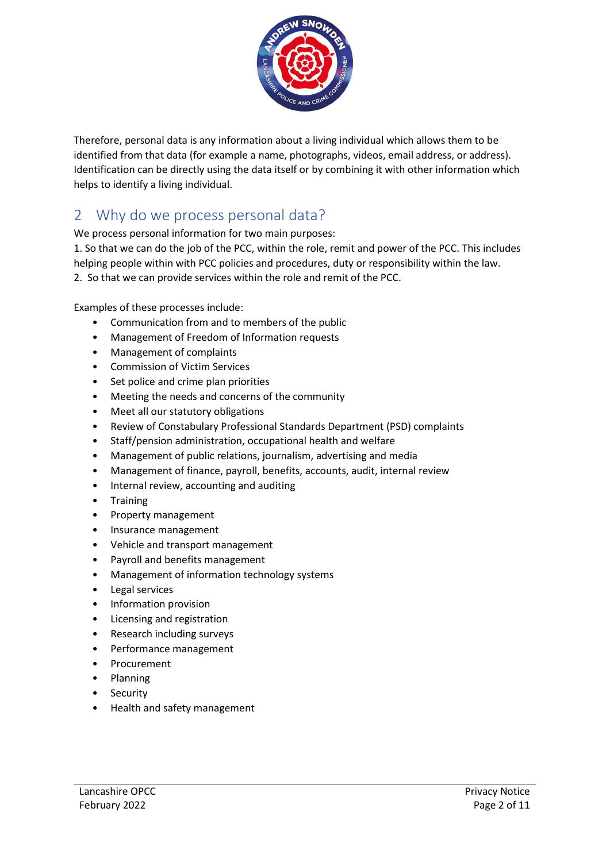

Therefore, personal data is any information about a living individual which allows them to be identified from that data (for example a name, photographs, videos, email address, or address). Identification can be directly using the data itself or by combining it with other information which helps to identify a living individual.

#### 2 Why do we process personal data?

We process personal information for two main purposes:

1. So that we can do the job of the PCC, within the role, remit and power of the PCC. This includes helping people within with PCC policies and procedures, duty or responsibility within the law. 2. So that we can provide services within the role and remit of the PCC.

Examples of these processes include:

- Communication from and to members of the public
- Management of Freedom of Information requests
- Management of complaints
- Commission of Victim Services
- Set police and crime plan priorities
- Meeting the needs and concerns of the community
- Meet all our statutory obligations
- Review of Constabulary Professional Standards Department (PSD) complaints
- Staff/pension administration, occupational health and welfare
- Management of public relations, journalism, advertising and media
- Management of finance, payroll, benefits, accounts, audit, internal review
- Internal review, accounting and auditing
- Training
- Property management
- Insurance management
- Vehicle and transport management
- Payroll and benefits management
- Management of information technology systems
- Legal services
- Information provision
- Licensing and registration
- Research including surveys
- Performance management
- Procurement
- Planning
- Security
- Health and safety management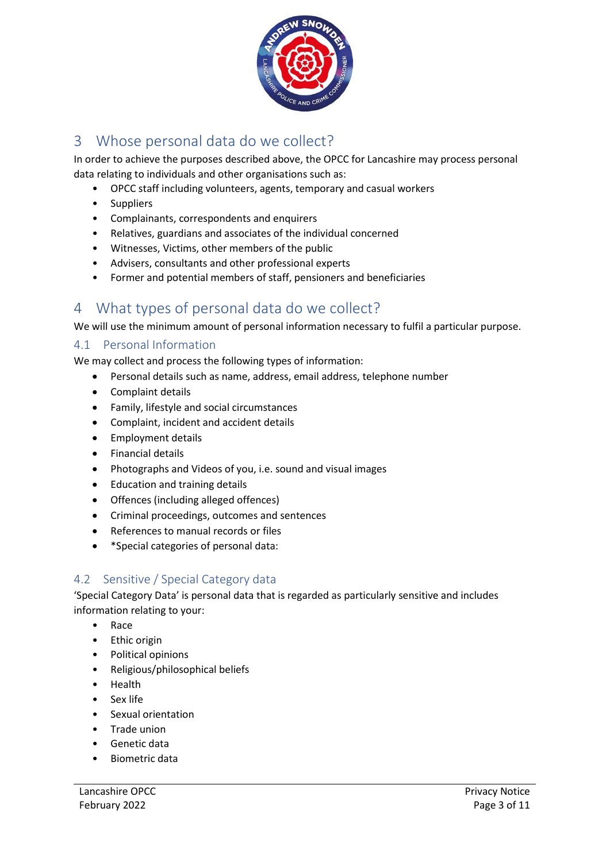

## 3 Whose personal data do we collect?

In order to achieve the purposes described above, the OPCC for Lancashire may process personal data relating to individuals and other organisations such as:

- OPCC staff including volunteers, agents, temporary and casual workers
- Suppliers
- Complainants, correspondents and enquirers
- Relatives, guardians and associates of the individual concerned
- Witnesses, Victims, other members of the public
- Advisers, consultants and other professional experts
- Former and potential members of staff, pensioners and beneficiaries

#### 4 What types of personal data do we collect?

We will use the minimum amount of personal information necessary to fulfil a particular purpose.

#### 4.1 Personal Information

We may collect and process the following types of information:

- Personal details such as name, address, email address, telephone number
- Complaint details
- Family, lifestyle and social circumstances
- Complaint, incident and accident details
- Employment details
- Financial details
- Photographs and Videos of you, i.e. sound and visual images
- Education and training details
- Offences (including alleged offences)
- Criminal proceedings, outcomes and sentences
- References to manual records or files
- \*Special categories of personal data:

#### 4.2 Sensitive / Special Category data

'Special Category Data' is personal data that is regarded as particularly sensitive and includes information relating to your:

- Race
- Ethic origin
- Political opinions
- Religious/philosophical beliefs
- Health
- Sex life
- Sexual orientation
- Trade union
- Genetic data
- Biometric data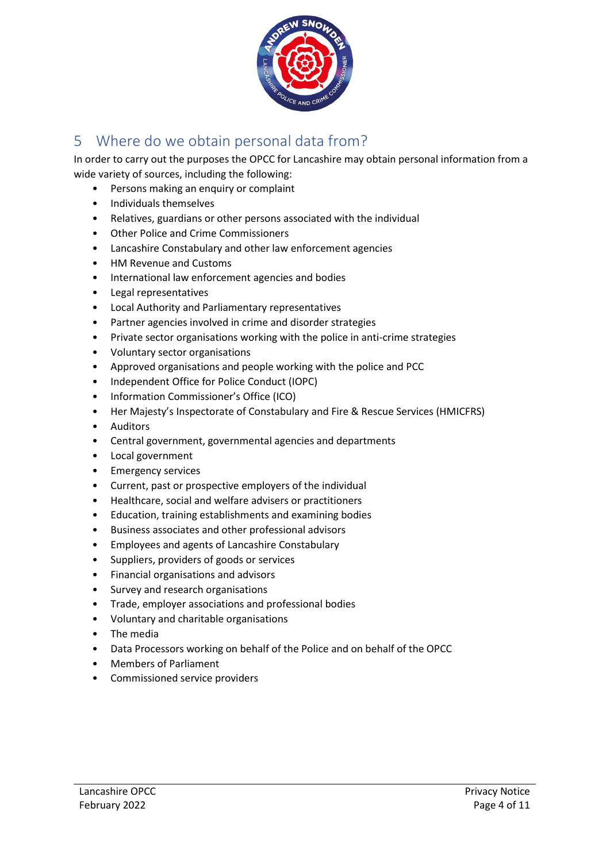

## 5 Where do we obtain personal data from?

In order to carry out the purposes the OPCC for Lancashire may obtain personal information from a wide variety of sources, including the following:

- Persons making an enquiry or complaint
- Individuals themselves
- Relatives, guardians or other persons associated with the individual
- Other Police and Crime Commissioners
- Lancashire Constabulary and other law enforcement agencies
- HM Revenue and Customs
- International law enforcement agencies and bodies
- Legal representatives
- Local Authority and Parliamentary representatives
- Partner agencies involved in crime and disorder strategies
- Private sector organisations working with the police in anti-crime strategies
- Voluntary sector organisations
- Approved organisations and people working with the police and PCC
- Independent Office for Police Conduct (IOPC)
- Information Commissioner's Office (ICO)
- Her Majesty's Inspectorate of Constabulary and Fire & Rescue Services (HMICFRS)
- Auditors
- Central government, governmental agencies and departments
- Local government
- Emergency services
- Current, past or prospective employers of the individual
- Healthcare, social and welfare advisers or practitioners
- Education, training establishments and examining bodies
- Business associates and other professional advisors
- Employees and agents of Lancashire Constabulary
- Suppliers, providers of goods or services
- Financial organisations and advisors
- Survey and research organisations
- Trade, employer associations and professional bodies
- Voluntary and charitable organisations
- The media
- Data Processors working on behalf of the Police and on behalf of the OPCC
- Members of Parliament
- Commissioned service providers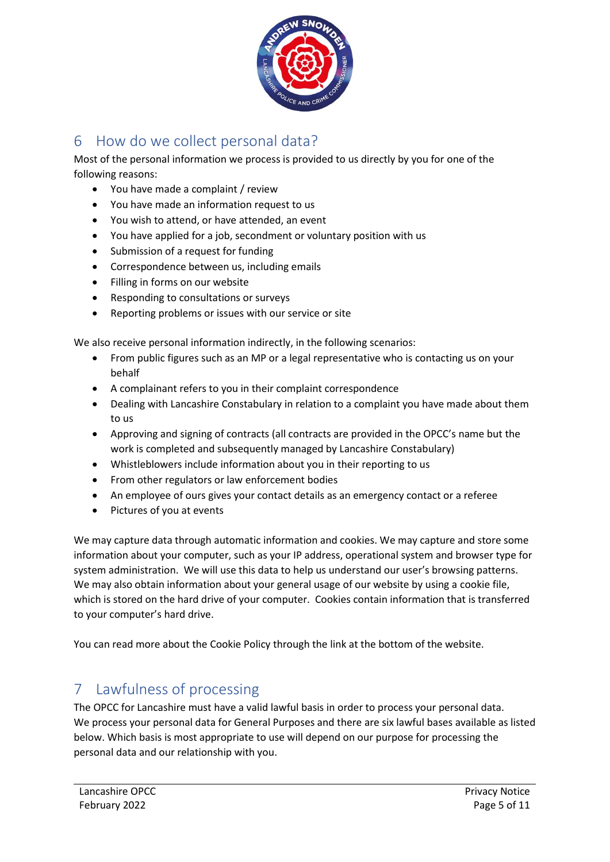

## 6 How do we collect personal data?

Most of the personal information we process is provided to us directly by you for one of the following reasons:

- You have made a complaint / review
- You have made an information request to us
- You wish to attend, or have attended, an event
- You have applied for a job, secondment or voluntary position with us
- Submission of a request for funding
- Correspondence between us, including emails
- Filling in forms on our website
- Responding to consultations or surveys
- Reporting problems or issues with our service or site

We also receive personal information indirectly, in the following scenarios:

- From public figures such as an MP or a legal representative who is contacting us on your behalf
- A complainant refers to you in their complaint correspondence
- Dealing with Lancashire Constabulary in relation to a complaint you have made about them to us
- Approving and signing of contracts (all contracts are provided in the OPCC's name but the work is completed and subsequently managed by Lancashire Constabulary)
- Whistleblowers include information about you in their reporting to us
- From other regulators or law enforcement bodies
- An employee of ours gives your contact details as an emergency contact or a referee
- Pictures of you at events

We may capture data through automatic information and cookies. We may capture and store some information about your computer, such as your IP address, operational system and browser type for system administration. We will use this data to help us understand our user's browsing patterns. We may also obtain information about your general usage of our website by using a cookie file, which is stored on the hard drive of your computer. Cookies contain information that is transferred to your computer's hard drive.

You can read more about the Cookie Policy through the link at the bottom of the website.

## 7 Lawfulness of processing

The OPCC for Lancashire must have a valid lawful basis in order to process your personal data. We process your personal data for General Purposes and there are six lawful bases available as listed below. Which basis is most appropriate to use will depend on our purpose for processing the personal data and our relationship with you.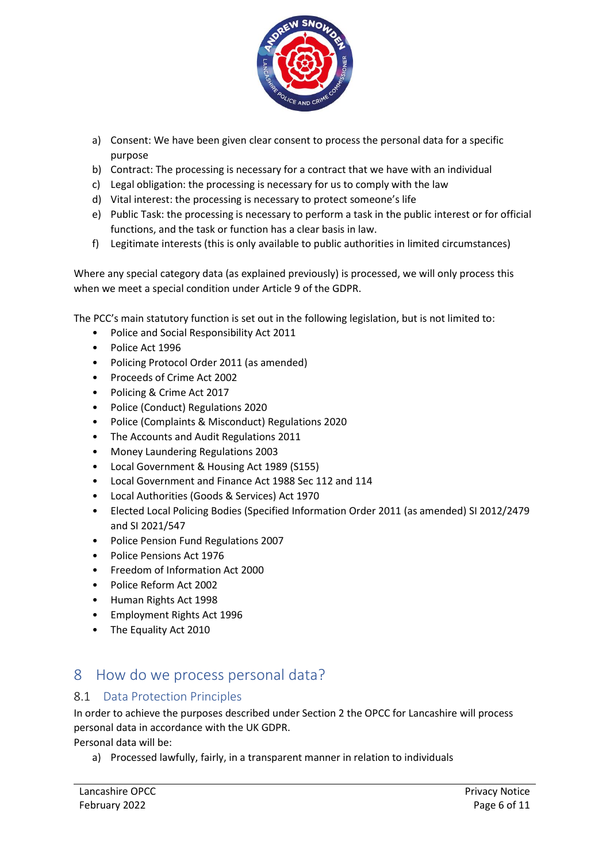

- a) Consent: We have been given clear consent to process the personal data for a specific purpose
- b) Contract: The processing is necessary for a contract that we have with an individual
- c) Legal obligation: the processing is necessary for us to comply with the law
- d) Vital interest: the processing is necessary to protect someone's life
- e) Public Task: the processing is necessary to perform a task in the public interest or for official functions, and the task or function has a clear basis in law.
- f) Legitimate interests (this is only available to public authorities in limited circumstances)

Where any special category data (as explained previously) is processed, we will only process this when we meet a special condition under Article 9 of the GDPR.

The PCC's main statutory function is set out in the following legislation, but is not limited to:

- Police and Social Responsibility Act 2011
- Police Act 1996
- Policing Protocol Order 2011 (as amended)
- Proceeds of Crime Act 2002
- Policing & Crime Act 2017
- Police (Conduct) Regulations 2020
- Police (Complaints & Misconduct) Regulations 2020
- The Accounts and Audit Regulations 2011
- Money Laundering Regulations 2003
- Local Government & Housing Act 1989 (S155)
- Local Government and Finance Act 1988 Sec 112 and 114
- Local Authorities (Goods & Services) Act 1970
- Elected Local Policing Bodies (Specified Information Order 2011 (as amended) SI 2012/2479 and SI 2021/547
- Police Pension Fund Regulations 2007
- Police Pensions Act 1976
- Freedom of Information Act 2000
- Police Reform Act 2002
- Human Rights Act 1998
- Employment Rights Act 1996
- The Equality Act 2010

#### 8 How do we process personal data?

#### 8.1 Data Protection Principles

In order to achieve the purposes described under Section 2 the OPCC for Lancashire will process personal data in accordance with the UK GDPR.

Personal data will be:

a) Processed lawfully, fairly, in a transparent manner in relation to individuals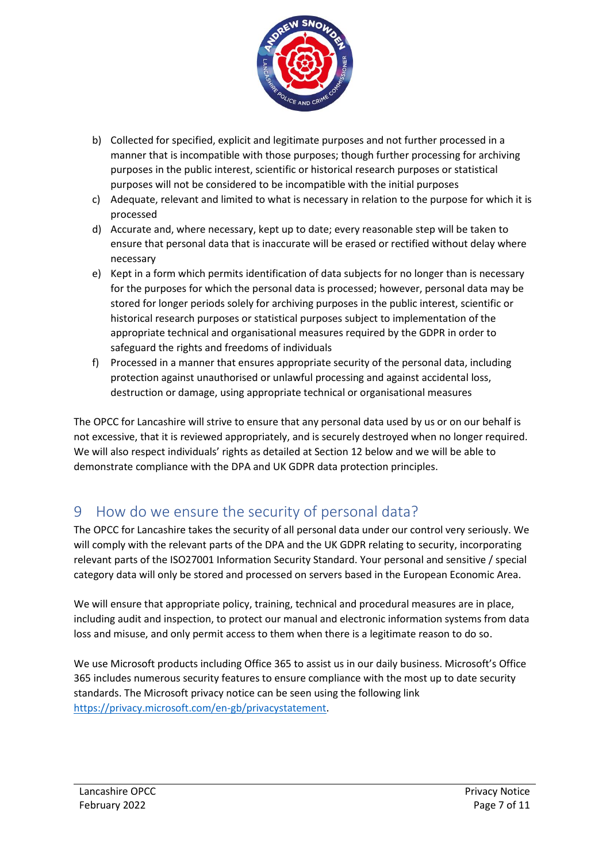

- b) Collected for specified, explicit and legitimate purposes and not further processed in a manner that is incompatible with those purposes; though further processing for archiving purposes in the public interest, scientific or historical research purposes or statistical purposes will not be considered to be incompatible with the initial purposes
- c) Adequate, relevant and limited to what is necessary in relation to the purpose for which it is processed
- d) Accurate and, where necessary, kept up to date; every reasonable step will be taken to ensure that personal data that is inaccurate will be erased or rectified without delay where necessary
- e) Kept in a form which permits identification of data subjects for no longer than is necessary for the purposes for which the personal data is processed; however, personal data may be stored for longer periods solely for archiving purposes in the public interest, scientific or historical research purposes or statistical purposes subject to implementation of the appropriate technical and organisational measures required by the GDPR in order to safeguard the rights and freedoms of individuals
- f) Processed in a manner that ensures appropriate security of the personal data, including protection against unauthorised or unlawful processing and against accidental loss, destruction or damage, using appropriate technical or organisational measures

The OPCC for Lancashire will strive to ensure that any personal data used by us or on our behalf is not excessive, that it is reviewed appropriately, and is securely destroyed when no longer required. We will also respect individuals' rights as detailed at Section 12 below and we will be able to demonstrate compliance with the DPA and UK GDPR data protection principles.

# 9 How do we ensure the security of personal data?

The OPCC for Lancashire takes the security of all personal data under our control very seriously. We will comply with the relevant parts of the DPA and the UK GDPR relating to security, incorporating relevant parts of the ISO27001 Information Security Standard. Your personal and sensitive / special category data will only be stored and processed on servers based in the European Economic Area.

We will ensure that appropriate policy, training, technical and procedural measures are in place, including audit and inspection, to protect our manual and electronic information systems from data loss and misuse, and only permit access to them when there is a legitimate reason to do so.

We use Microsoft products including Office 365 to assist us in our daily business. Microsoft's Office 365 includes numerous security features to ensure compliance with the most up to date security standards. The Microsoft privacy notice can be seen using the following link [https://privacy.microsoft.com/en-gb/privacystatement.](https://privacy.microsoft.com/en-gb/privacystatement)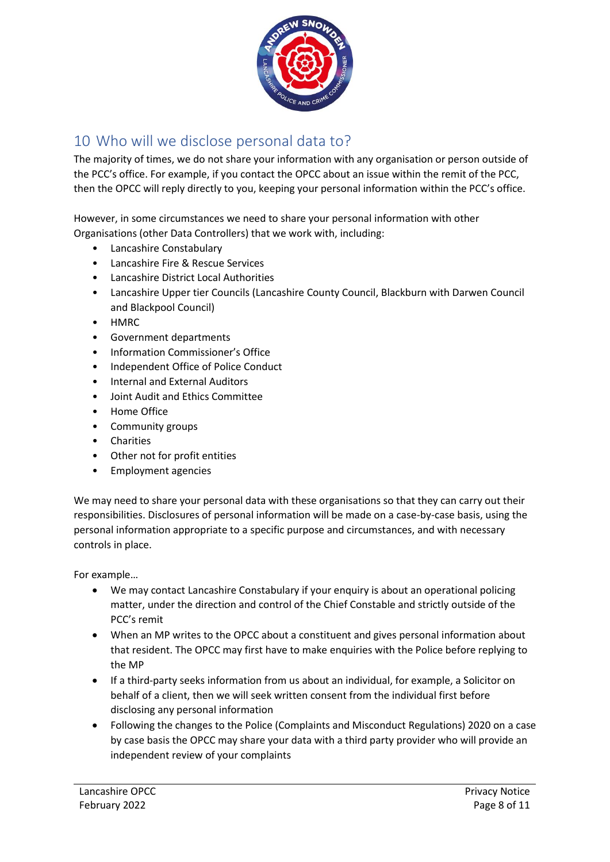

# 10 Who will we disclose personal data to?

The majority of times, we do not share your information with any organisation or person outside of the PCC's office. For example, if you contact the OPCC about an issue within the remit of the PCC, then the OPCC will reply directly to you, keeping your personal information within the PCC's office.

However, in some circumstances we need to share your personal information with other Organisations (other Data Controllers) that we work with, including:

- Lancashire Constabulary
- Lancashire Fire & Rescue Services
- Lancashire District Local Authorities
- Lancashire Upper tier Councils (Lancashire County Council, Blackburn with Darwen Council and Blackpool Council)
- HMRC
- Government departments
- Information Commissioner's Office
- Independent Office of Police Conduct
- Internal and External Auditors
- Joint Audit and Ethics Committee
- Home Office
- Community groups
- Charities
- Other not for profit entities
- Employment agencies

We may need to share your personal data with these organisations so that they can carry out their responsibilities. Disclosures of personal information will be made on a case-by-case basis, using the personal information appropriate to a specific purpose and circumstances, and with necessary controls in place.

For example…

- We may contact Lancashire Constabulary if your enquiry is about an operational policing matter, under the direction and control of the Chief Constable and strictly outside of the PCC's remit
- When an MP writes to the OPCC about a constituent and gives personal information about that resident. The OPCC may first have to make enquiries with the Police before replying to the MP
- If a third-party seeks information from us about an individual, for example, a Solicitor on behalf of a client, then we will seek written consent from the individual first before disclosing any personal information
- Following the changes to the Police (Complaints and Misconduct Regulations) 2020 on a case by case basis the OPCC may share your data with a third party provider who will provide an independent review of your complaints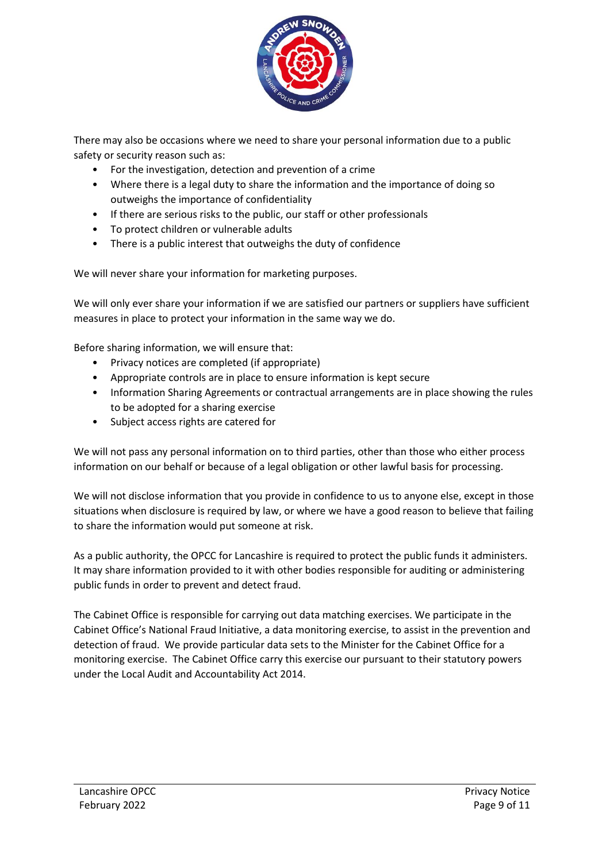

There may also be occasions where we need to share your personal information due to a public safety or security reason such as:

- For the investigation, detection and prevention of a crime
- Where there is a legal duty to share the information and the importance of doing so outweighs the importance of confidentiality
- If there are serious risks to the public, our staff or other professionals
- To protect children or vulnerable adults
- There is a public interest that outweighs the duty of confidence

We will never share your information for marketing purposes.

We will only ever share your information if we are satisfied our partners or suppliers have sufficient measures in place to protect your information in the same way we do.

Before sharing information, we will ensure that:

- Privacy notices are completed (if appropriate)
- Appropriate controls are in place to ensure information is kept secure
- Information Sharing Agreements or contractual arrangements are in place showing the rules to be adopted for a sharing exercise
- Subject access rights are catered for

We will not pass any personal information on to third parties, other than those who either process information on our behalf or because of a legal obligation or other lawful basis for processing.

We will not disclose information that you provide in confidence to us to anyone else, except in those situations when disclosure is required by law, or where we have a good reason to believe that failing to share the information would put someone at risk.

As a public authority, the OPCC for Lancashire is required to protect the public funds it administers. It may share information provided to it with other bodies responsible for auditing or administering public funds in order to prevent and detect fraud.

The Cabinet Office is responsible for carrying out data matching exercises. We participate in the Cabinet Office's National Fraud Initiative, a data monitoring exercise, to assist in the prevention and detection of fraud. We provide particular data sets to the Minister for the Cabinet Office for a monitoring exercise. The Cabinet Office carry this exercise our pursuant to their statutory powers under the Local Audit and Accountability Act 2014.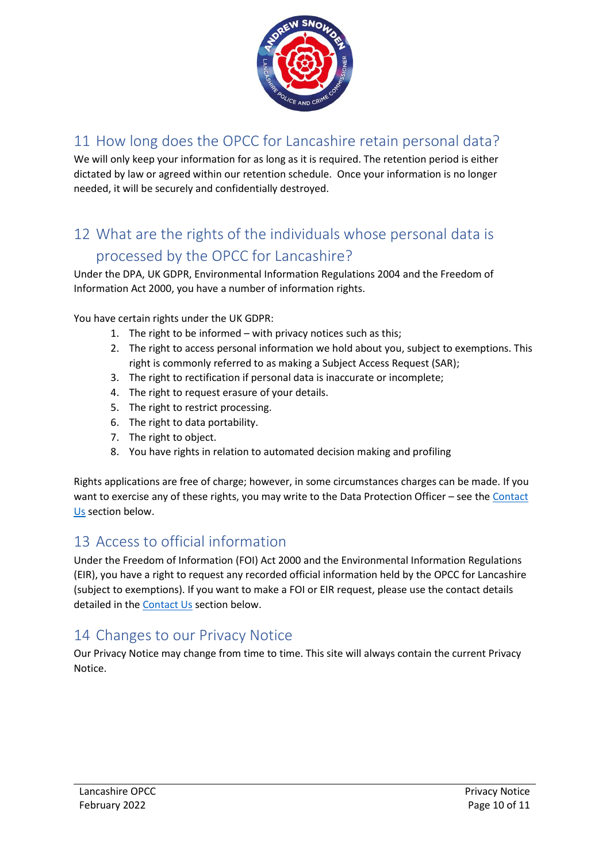

# 11 How long does the OPCC for Lancashire retain personal data?

We will only keep your information for as long as it is required. The retention period is either dictated by law or agreed within our retention schedule. Once your information is no longer needed, it will be securely and confidentially destroyed.

# 12 What are the rights of the individuals whose personal data is processed by the OPCC for Lancashire?

Under the DPA, UK GDPR, Environmental Information Regulations 2004 and the Freedom of Information Act 2000, you have a number of information rights.

You have certain rights under the UK GDPR:

- 1. The right to be informed with privacy notices such as this;
- 2. The right to access personal information we hold about you, subject to exemptions. This right is commonly referred to as making a Subject Access Request (SAR);
- 3. The right to rectification if personal data is inaccurate or incomplete;
- 4. The right to request erasure of your details.
- 5. The right to restrict processing.
- 6. The right to data portability.
- 7. The right to object.
- 8. You have rights in relation to automated decision making and profiling

Rights applications are free of charge; however, in some circumstances charges can be made. If you want to exercise any of these rights, you may write to the Data Protection Officer – see th[e Contact](#page-10-0)  [Us](#page-10-0) section below.

#### 13 Access to official information

Under the Freedom of Information (FOI) Act 2000 and the Environmental Information Regulations (EIR), you have a right to request any recorded official information held by the OPCC for Lancashire (subject to exemptions). If you want to make a FOI or EIR request, please use the contact details detailed in the [Contact Us](#page-10-0) section below.

#### 14 Changes to our Privacy Notice

Our Privacy Notice may change from time to time. This site will always contain the current Privacy Notice.